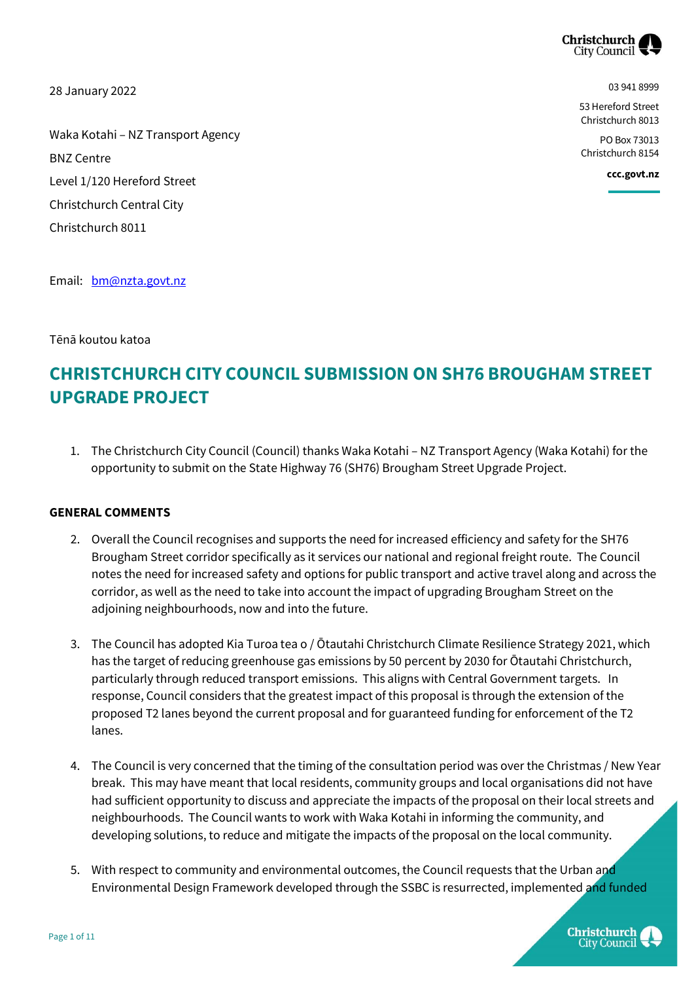

28 January 2022

03 941 8999

53 Hereford Street Christchurch 8013

PO Box 73013 Christchurch 8154

**ccc.govt.nz**

Waka Kotahi – NZ Transport Agency BNZ Centre Level 1/120 Hereford Street Christchurch Central City Christchurch 8011

Email: [bm@nzta.govt.nz](mailto:bm@nzta.govt.nz)

Tēnā koutou katoa

# **CHRISTCHURCH CITY COUNCIL SUBMISSION ON SH76 BROUGHAM STREET UPGRADE PROJECT**

1. The Christchurch City Council (Council) thanks Waka Kotahi – NZ Transport Agency (Waka Kotahi) for the opportunity to submit on the State Highway 76 (SH76) Brougham Street Upgrade Project.

#### **GENERAL COMMENTS**

- 2. Overall the Council recognises and supports the need for increased efficiency and safety for the SH76 Brougham Street corridor specifically as it services our national and regional freight route. The Council notes the need for increased safety and options for public transport and active travel along and across the corridor, as well as the need to take into account the impact of upgrading Brougham Street on the adjoining neighbourhoods, now and into the future.
- 3. The Council has adopted Kia Turoa tea o / Ōtautahi Christchurch Climate Resilience Strategy 2021, which has the target of reducing greenhouse gas emissions by 50 percent by 2030 for Ōtautahi Christchurch, particularly through reduced transport emissions. This aligns with Central Government targets. In response, Council considers that the greatest impact of this proposal is through the extension of the proposed T2 lanes beyond the current proposal and for guaranteed funding for enforcement of the T2 lanes.
- 4. The Council is very concerned that the timing of the consultation period was over the Christmas / New Year break. This may have meant that local residents, community groups and local organisations did not have had sufficient opportunity to discuss and appreciate the impacts of the proposal on their local streets and neighbourhoods. The Council wants to work with Waka Kotahi in informing the community, and developing solutions, to reduce and mitigate the impacts of the proposal on the local community.
- 5. With respect to community and environmental outcomes, the Council requests that the Urban and Environmental Design Framework developed through the SSBC is resurrected, implemented and funded

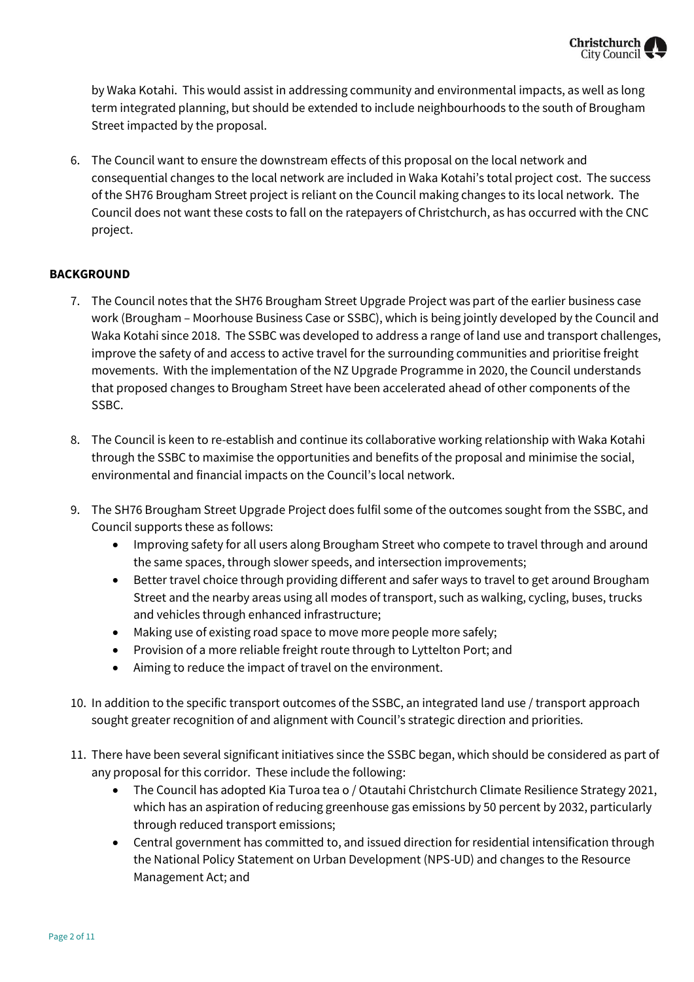

by Waka Kotahi. This would assist in addressing community and environmental impacts, as well as long term integrated planning, but should be extended to include neighbourhoods to the south of Brougham Street impacted by the proposal.

6. The Council want to ensure the downstream effects of this proposal on the local network and consequential changes to the local network are included in Waka Kotahi's total project cost. The success of the SH76 Brougham Street project is reliant on the Council making changes to its local network. The Council does not want these costs to fall on the ratepayers of Christchurch, as has occurred with the CNC project.

#### **BACKGROUND**

- 7. The Council notes that the SH76 Brougham Street Upgrade Project was part of the earlier business case work (Brougham – Moorhouse Business Case or SSBC), which is being jointly developed by the Council and Waka Kotahi since 2018. The SSBC was developed to address a range of land use and transport challenges, improve the safety of and access to active travel for the surrounding communities and prioritise freight movements. With the implementation of the NZ Upgrade Programme in 2020, the Council understands that proposed changes to Brougham Street have been accelerated ahead of other components of the SSBC.
- 8. The Council is keen to re-establish and continue its collaborative working relationship with Waka Kotahi through the SSBC to maximise the opportunities and benefits of the proposal and minimise the social, environmental and financial impacts on the Council's local network.
- 9. The SH76 Brougham Street Upgrade Project does fulfil some of the outcomes sought from the SSBC, and Council supports these as follows:
	- Improving safety for all users along Brougham Street who compete to travel through and around the same spaces, through slower speeds, and intersection improvements;
	- Better travel choice through providing different and safer ways to travel to get around Brougham Street and the nearby areas using all modes of transport, such as walking, cycling, buses, trucks and vehicles through enhanced infrastructure;
	- Making use of existing road space to move more people more safely;
	- Provision of a more reliable freight route through to Lyttelton Port; and
	- Aiming to reduce the impact of travel on the environment.
- 10. In addition to the specific transport outcomes of the SSBC, an integrated land use / transport approach sought greater recognition of and alignment with Council's strategic direction and priorities.
- 11. There have been several significant initiatives since the SSBC began, which should be considered as part of any proposal for this corridor. These include the following:
	- The Council has adopted Kia Turoa tea o / Otautahi Christchurch Climate Resilience Strategy 2021, which has an aspiration of reducing greenhouse gas emissions by 50 percent by 2032, particularly through reduced transport emissions;
	- Central government has committed to, and issued direction for residential intensification through the National Policy Statement on Urban Development (NPS-UD) and changes to the Resource Management Act; and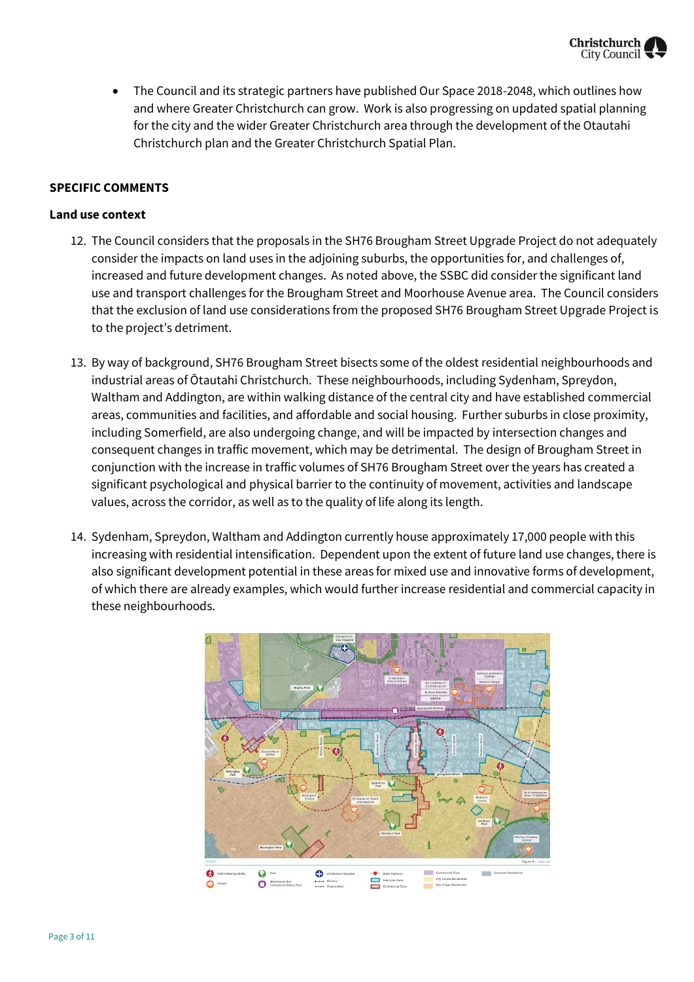

 The Council and its strategic partners have published Our Space 2018-2048, which outlines how and where Greater Christchurch can grow. Work is also progressing on updated spatial planning for the city and the wider Greater Christchurch area through the development of the Otautahi Christchurch plan and the Greater Christchurch Spatial Plan.

#### **SPECIFIC COMMENTS**

#### **Land use context**

- 12. The Council considers that the proposals in the SH76 Brougham Street Upgrade Project do not adequately consider the impacts on land uses in the adjoining suburbs, the opportunities for, and challenges of, increased and future development changes. As noted above, the SSBC did consider the significant land use and transport challenges for the Brougham Street and Moorhouse Avenue area. The Council considers that the exclusion of land use considerations from the proposed SH76 Brougham Street Upgrade Project is to the project's detriment.
- 13. By way of background, SH76 Brougham Street bisects some of the oldest residential neighbourhoods and industrial areas of Ōtautahi Christchurch. These neighbourhoods, including Sydenham, Spreydon, Waltham and Addington, are within walking distance of the central city and have established commercial areas, communities and facilities, and affordable and social housing. Further suburbs in close proximity, including Somerfield, are also undergoing change, and will be impacted by intersection changes and consequent changes in traffic movement, which may be detrimental. The design of Brougham Street in conjunction with the increase in traffic volumes of SH76 Brougham Street over the years has created a significant psychological and physical barrier to the continuity of movement, activities and landscape values, across the corridor, as well as to the quality of life along its length.
- 14. Sydenham, Spreydon, Waltham and Addington currently house approximately 17,000 people with this increasing with residential intensification. Dependent upon the extent of future land use changes, there is also significant development potential in these areas for mixed use and innovative forms of development, of which there are already examples, which would further increase residential and commercial capacity in these neighbourhoods.

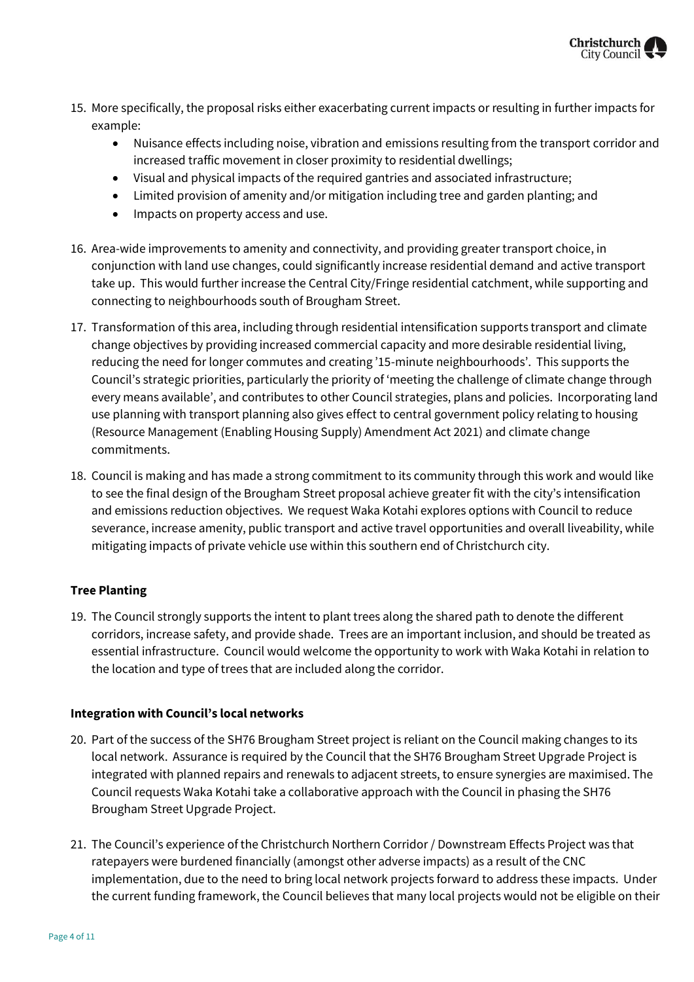

- 15. More specifically, the proposal risks either exacerbating current impacts or resulting in further impacts for example:
	- Nuisance effects including noise, vibration and emissions resulting from the transport corridor and increased traffic movement in closer proximity to residential dwellings;
	- Visual and physical impacts of the required gantries and associated infrastructure;
	- Limited provision of amenity and/or mitigation including tree and garden planting; and
	- Impacts on property access and use.
- 16. Area-wide improvements to amenity and connectivity, and providing greater transport choice, in conjunction with land use changes, could significantly increase residential demand and active transport take up. This would further increase the Central City/Fringe residential catchment, while supporting and connecting to neighbourhoods south of Brougham Street.
- 17. Transformation of this area, including through residential intensification supports transport and climate change objectives by providing increased commercial capacity and more desirable residential living, reducing the need for longer commutes and creating '15-minute neighbourhoods'. This supports the Council's strategic priorities, particularly the priority of 'meeting the challenge of climate change through every means available', and contributes to other Council strategies, plans and policies. Incorporating land use planning with transport planning also gives effect to central government policy relating to housing (Resource Management (Enabling Housing Supply) Amendment Act 2021) and climate change commitments.
- 18. Council is making and has made a strong commitment to its community through this work and would like to see the final design of the Brougham Street proposal achieve greater fit with the city's intensification and emissions reduction objectives. We request Waka Kotahi explores options with Council to reduce severance, increase amenity, public transport and active travel opportunities and overall liveability, while mitigating impacts of private vehicle use within this southern end of Christchurch city.

#### **Tree Planting**

19. The Council strongly supports the intent to plant trees along the shared path to denote the different corridors, increase safety, and provide shade. Trees are an important inclusion, and should be treated as essential infrastructure. Council would welcome the opportunity to work with Waka Kotahi in relation to the location and type of trees that are included along the corridor.

#### **Integration with Council's local networks**

- 20. Part of the success of the SH76 Brougham Street project is reliant on the Council making changes to its local network. Assurance is required by the Council that the SH76 Brougham Street Upgrade Project is integrated with planned repairs and renewals to adjacent streets, to ensure synergies are maximised. The Council requests Waka Kotahi take a collaborative approach with the Council in phasing the SH76 Brougham Street Upgrade Project.
- 21. The Council's experience of the Christchurch Northern Corridor / Downstream Effects Project was that ratepayers were burdened financially (amongst other adverse impacts) as a result of the CNC implementation, due to the need to bring local network projects forward to address these impacts. Under the current funding framework, the Council believes that many local projects would not be eligible on their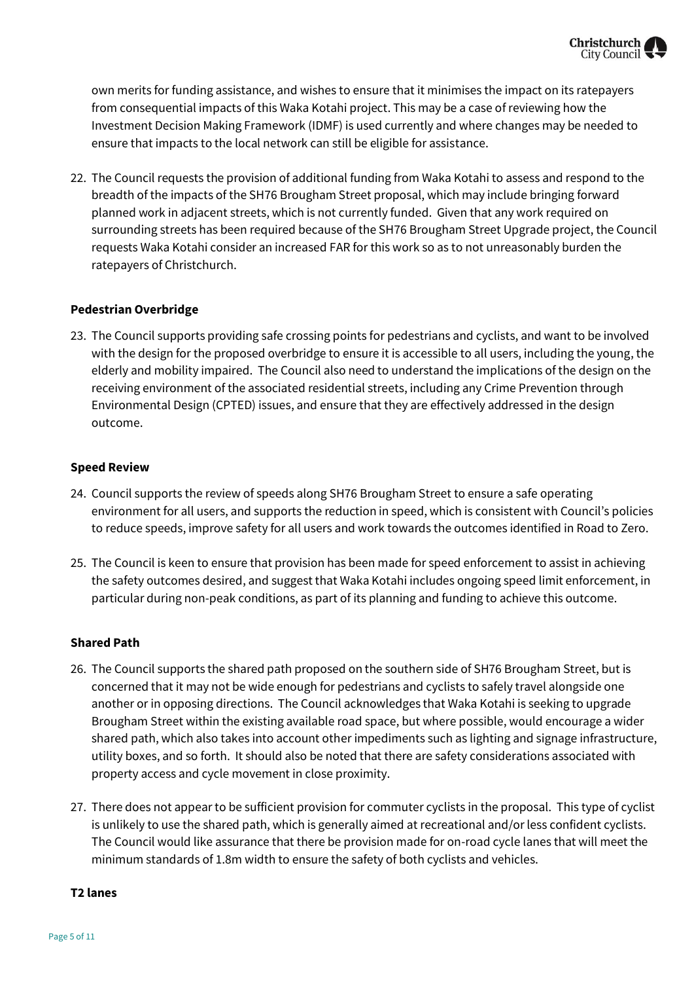own merits for funding assistance, and wishes to ensure that it minimises the impact on its ratepayers from consequential impacts of this Waka Kotahi project. This may be a case of reviewing how the Investment Decision Making Framework (IDMF) is used currently and where changes may be needed to ensure that impacts to the local network can still be eligible for assistance.

22. The Council requests the provision of additional funding from Waka Kotahi to assess and respond to the breadth of the impacts of the SH76 Brougham Street proposal, which may include bringing forward planned work in adjacent streets, which is not currently funded. Given that any work required on surrounding streets has been required because of the SH76 Brougham Street Upgrade project, the Council requests Waka Kotahi consider an increased FAR for this work so as to not unreasonably burden the ratepayers of Christchurch.

#### **Pedestrian Overbridge**

23. The Council supports providing safe crossing points for pedestrians and cyclists, and want to be involved with the design for the proposed overbridge to ensure it is accessible to all users, including the young, the elderly and mobility impaired. The Council also need to understand the implications of the design on the receiving environment of the associated residential streets, including any Crime Prevention through Environmental Design (CPTED) issues, and ensure that they are effectively addressed in the design outcome.

#### **Speed Review**

- 24. Council supports the review of speeds along SH76 Brougham Street to ensure a safe operating environment for all users, and supports the reduction in speed, which is consistent with Council's policies to reduce speeds, improve safety for all users and work towards the outcomes identified in Road to Zero.
- 25. The Council is keen to ensure that provision has been made for speed enforcement to assist in achieving the safety outcomes desired, and suggest that Waka Kotahi includes ongoing speed limit enforcement, in particular during non-peak conditions, as part of its planning and funding to achieve this outcome.

#### **Shared Path**

- 26. The Council supports the shared path proposed on the southern side of SH76 Brougham Street, but is concerned that it may not be wide enough for pedestrians and cyclists to safely travel alongside one another or in opposing directions. The Council acknowledges that Waka Kotahi is seeking to upgrade Brougham Street within the existing available road space, but where possible, would encourage a wider shared path, which also takes into account other impediments such as lighting and signage infrastructure, utility boxes, and so forth. It should also be noted that there are safety considerations associated with property access and cycle movement in close proximity.
- 27. There does not appear to be sufficient provision for commuter cyclists in the proposal. This type of cyclist is unlikely to use the shared path, which is generally aimed at recreational and/or less confident cyclists. The Council would like assurance that there be provision made for on-road cycle lanes that will meet the minimum standards of 1.8m width to ensure the safety of both cyclists and vehicles.

#### **T2 lanes**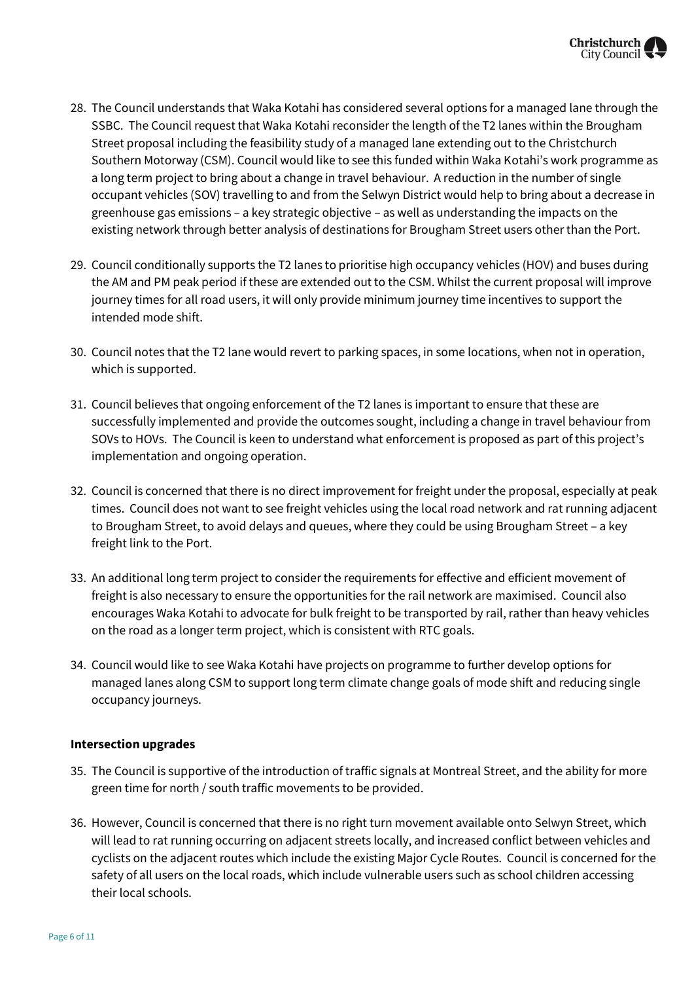

- 28. The Council understands that Waka Kotahi has considered several options for a managed lane through the SSBC. The Council request that Waka Kotahi reconsider the length of the T2 lanes within the Brougham Street proposal including the feasibility study of a managed lane extending out to the Christchurch Southern Motorway (CSM). Council would like to see this funded within Waka Kotahi's work programme as a long term project to bring about a change in travel behaviour. A reduction in the number of single occupant vehicles (SOV) travelling to and from the Selwyn District would help to bring about a decrease in greenhouse gas emissions – a key strategic objective – as well as understanding the impacts on the existing network through better analysis of destinations for Brougham Street users other than the Port.
- 29. Council conditionally supports the T2 lanes to prioritise high occupancy vehicles (HOV) and buses during the AM and PM peak period if these are extended out to the CSM. Whilst the current proposal will improve journey times for all road users, it will only provide minimum journey time incentives to support the intended mode shift.
- 30. Council notes that the T2 lane would revert to parking spaces, in some locations, when not in operation, which is supported.
- 31. Council believes that ongoing enforcement of the T2 lanes is important to ensure that these are successfully implemented and provide the outcomes sought, including a change in travel behaviour from SOVs to HOVs. The Council is keen to understand what enforcement is proposed as part of this project's implementation and ongoing operation.
- 32. Council is concerned that there is no direct improvement for freight under the proposal, especially at peak times. Council does not want to see freight vehicles using the local road network and rat running adjacent to Brougham Street, to avoid delays and queues, where they could be using Brougham Street – a key freight link to the Port.
- 33. An additional long term project to consider the requirements for effective and efficient movement of freight is also necessary to ensure the opportunities for the rail network are maximised. Council also encourages Waka Kotahi to advocate for bulk freight to be transported by rail, rather than heavy vehicles on the road as a longer term project, which is consistent with RTC goals.
- 34. Council would like to see Waka Kotahi have projects on programme to further develop options for managed lanes along CSM to support long term climate change goals of mode shift and reducing single occupancy journeys.

#### **Intersection upgrades**

- 35. The Council is supportive of the introduction of traffic signals at Montreal Street, and the ability for more green time for north / south traffic movements to be provided.
- 36. However, Council is concerned that there is no right turn movement available onto Selwyn Street, which will lead to rat running occurring on adjacent streets locally, and increased conflict between vehicles and cyclists on the adjacent routes which include the existing Major Cycle Routes. Council is concerned for the safety of all users on the local roads, which include vulnerable users such as school children accessing their local schools.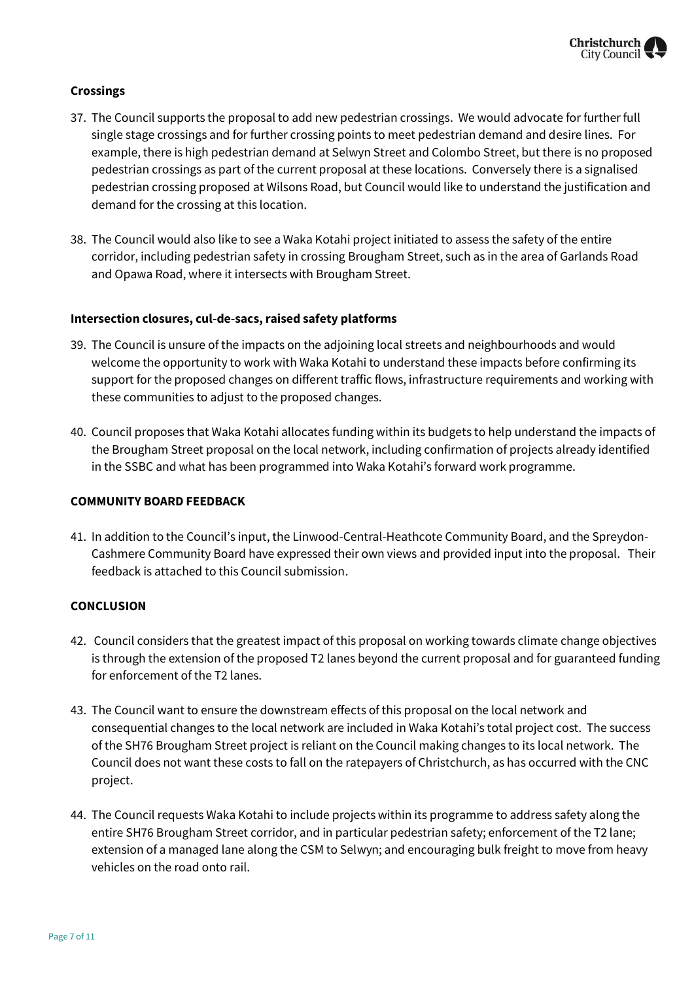#### **Crossings**

- 37. The Council supports the proposal to add new pedestrian crossings. We would advocate for further full single stage crossings and for further crossing points to meet pedestrian demand and desire lines. For example, there is high pedestrian demand at Selwyn Street and Colombo Street, but there is no proposed pedestrian crossings as part of the current proposal at these locations. Conversely there is a signalised pedestrian crossing proposed at Wilsons Road, but Council would like to understand the justification and demand for the crossing at this location.
- 38. The Council would also like to see a Waka Kotahi project initiated to assess the safety of the entire corridor, including pedestrian safety in crossing Brougham Street, such as in the area of Garlands Road and Opawa Road, where it intersects with Brougham Street.

#### **Intersection closures, cul-de-sacs, raised safety platforms**

- 39. The Council is unsure of the impacts on the adjoining local streets and neighbourhoods and would welcome the opportunity to work with Waka Kotahi to understand these impacts before confirming its support for the proposed changes on different traffic flows, infrastructure requirements and working with these communities to adjust to the proposed changes.
- 40. Council proposes that Waka Kotahi allocates funding within its budgets to help understand the impacts of the Brougham Street proposal on the local network, including confirmation of projects already identified in the SSBC and what has been programmed into Waka Kotahi's forward work programme.

#### **COMMUNITY BOARD FEEDBACK**

41. In addition to the Council's input, the Linwood-Central-Heathcote Community Board, and the Spreydon-Cashmere Community Board have expressed their own views and provided input into the proposal. Their feedback is attached to this Council submission.

#### **CONCLUSION**

- 42. Council considers that the greatest impact of this proposal on working towards climate change objectives is through the extension of the proposed T2 lanes beyond the current proposal and for guaranteed funding for enforcement of the T2 lanes.
- 43. The Council want to ensure the downstream effects of this proposal on the local network and consequential changes to the local network are included in Waka Kotahi's total project cost. The success of the SH76 Brougham Street project is reliant on the Council making changes to its local network. The Council does not want these costs to fall on the ratepayers of Christchurch, as has occurred with the CNC project.
- 44. The Council requests Waka Kotahi to include projects within its programme to address safety along the entire SH76 Brougham Street corridor, and in particular pedestrian safety; enforcement of the T2 lane; extension of a managed lane along the CSM to Selwyn; and encouraging bulk freight to move from heavy vehicles on the road onto rail.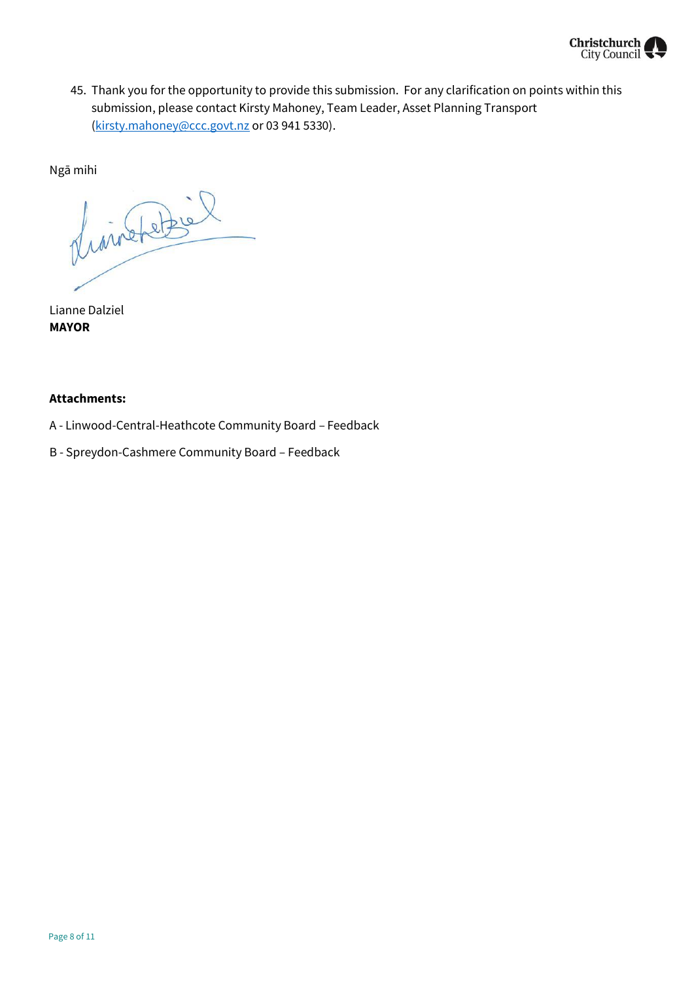

45. Thank you for the opportunity to provide this submission. For any clarification on points within this submission, please contact Kirsty Mahoney, Team Leader, Asset Planning Transport [\(kirsty.mahoney@ccc.govt.nz](mailto:kirsty.mahoney@ccc.govt.nz) or 03 941 5330).

Ngā mihi

divinter

Lianne Dalziel **MAYOR**

#### **Attachments:**

- A Linwood-Central-Heathcote Community Board Feedback
- B Spreydon-Cashmere Community Board Feedback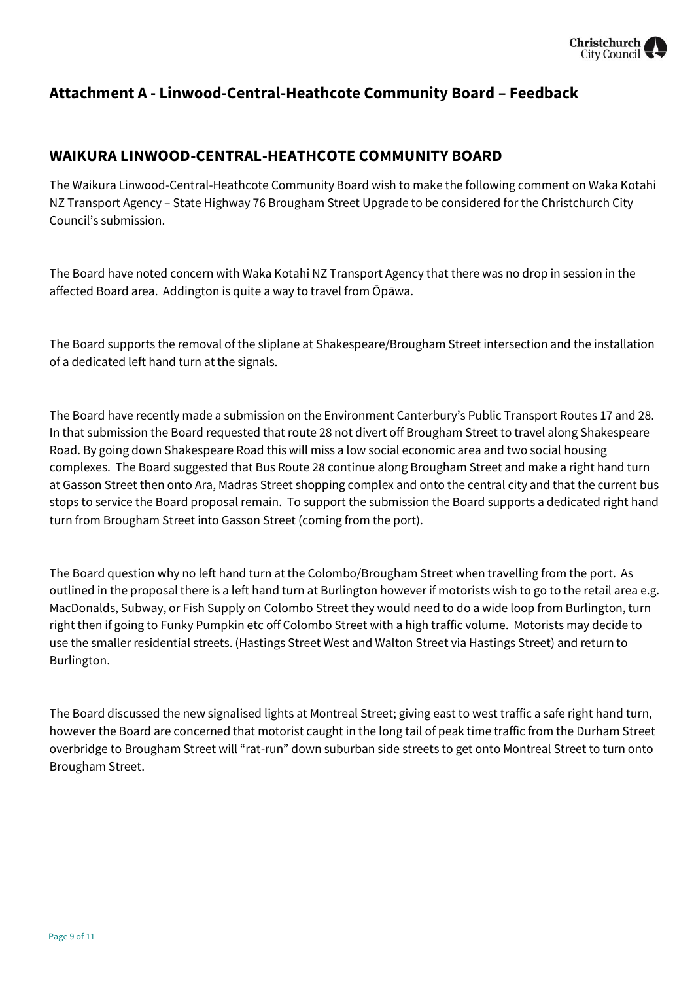

## **Attachment A - Linwood-Central-Heathcote Community Board – Feedback**

## **WAIKURA LINWOOD-CENTRAL-HEATHCOTE COMMUNITY BOARD**

The Waikura Linwood-Central-Heathcote Community Board wish to make the following comment on Waka Kotahi NZ Transport Agency – State Highway 76 Brougham Street Upgrade to be considered for the Christchurch City Council's submission.

The Board have noted concern with Waka Kotahi NZ Transport Agency that there was no drop in session in the affected Board area. Addington is quite a way to travel from Ōpāwa.

The Board supports the removal of the sliplane at Shakespeare/Brougham Street intersection and the installation of a dedicated left hand turn at the signals.

The Board have recently made a submission on the Environment Canterbury's Public Transport Routes 17 and 28. In that submission the Board requested that route 28 not divert off Brougham Street to travel along Shakespeare Road. By going down Shakespeare Road this will miss a low social economic area and two social housing complexes. The Board suggested that Bus Route 28 continue along Brougham Street and make a right hand turn at Gasson Street then onto Ara, Madras Street shopping complex and onto the central city and that the current bus stops to service the Board proposal remain. To support the submission the Board supports a dedicated right hand turn from Brougham Street into Gasson Street (coming from the port).

The Board question why no left hand turn at the Colombo/Brougham Street when travelling from the port. As outlined in the proposal there is a left hand turn at Burlington however if motorists wish to go to the retail area e.g. MacDonalds, Subway, or Fish Supply on Colombo Street they would need to do a wide loop from Burlington, turn right then if going to Funky Pumpkin etc off Colombo Street with a high traffic volume. Motorists may decide to use the smaller residential streets. (Hastings Street West and Walton Street via Hastings Street) and return to Burlington.

The Board discussed the new signalised lights at Montreal Street; giving east to west traffic a safe right hand turn, however the Board are concerned that motorist caught in the long tail of peak time traffic from the Durham Street overbridge to Brougham Street will "rat-run" down suburban side streets to get onto Montreal Street to turn onto Brougham Street.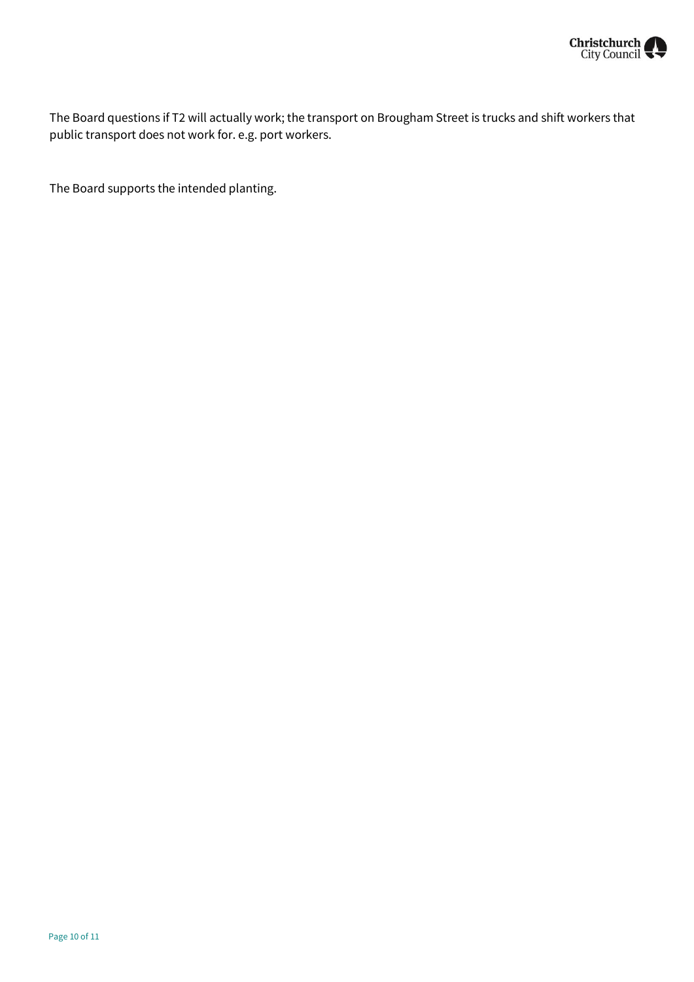

The Board questions if T2 will actually work; the transport on Brougham Street is trucks and shift workers that public transport does not work for. e.g. port workers.

The Board supports the intended planting.